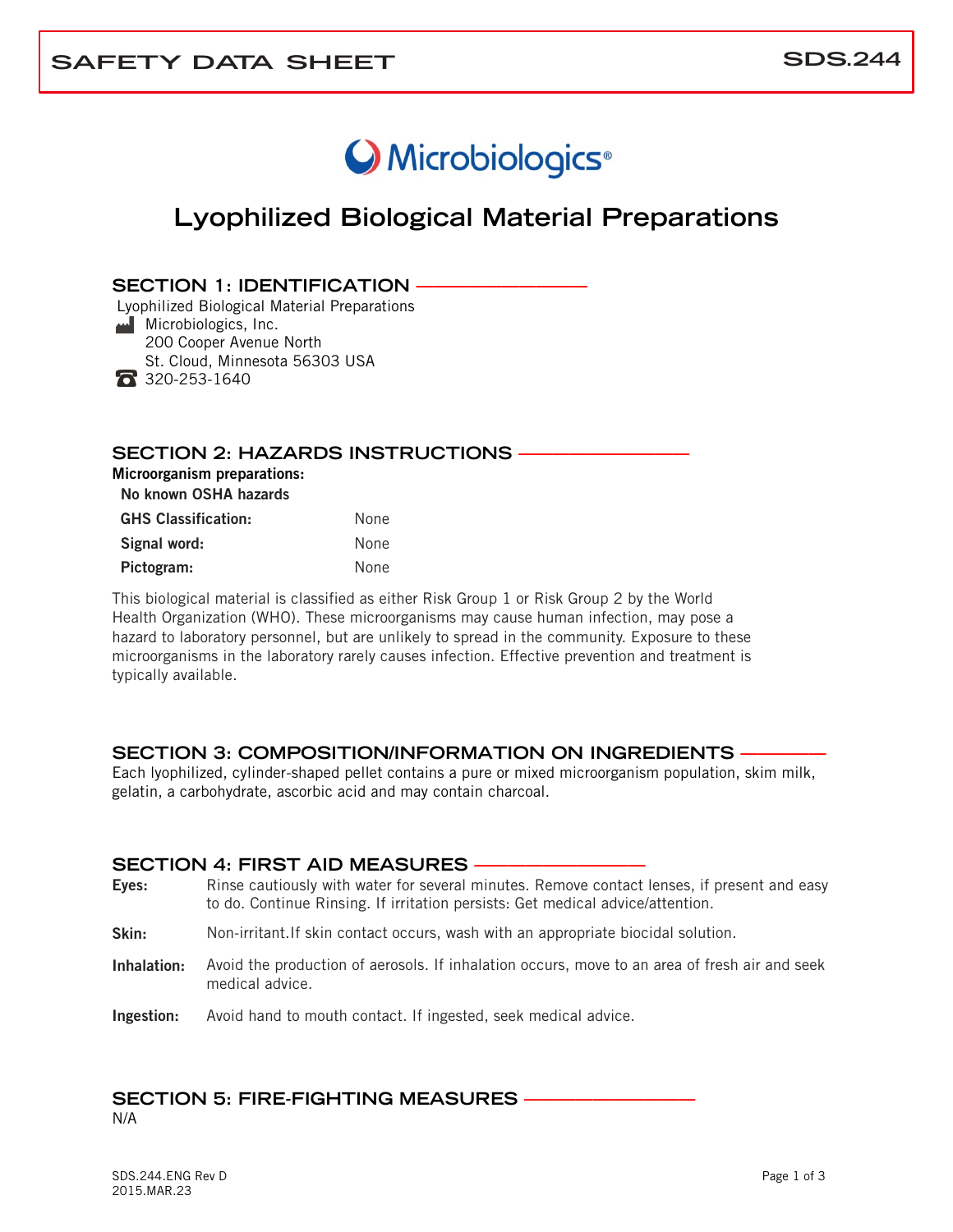# O Microbiologics<sup>®</sup>

## **Lyophilized Biological Material Preparations**

#### **SECTION 1: IDENTIFICATION**

Lyophilized Biological Material Preparations **Microbiologics, Inc.**  200 Cooper Avenue North St. Cloud, Minnesota 56303 USA  $\bullet$  320-253-1640

#### **SECTION 2: HAZARDS INSTRUCTIONS —**

Microorganism preparations:

No known OSHA hazards

| <b>GHS Classification:</b> | None |
|----------------------------|------|
| Signal word:               | None |
| Pictogram:                 | None |

This biological material is classified as either Risk Group 1 or Risk Group 2 by the World Health Organization (WHO). These microorganisms may cause human infection, may pose a hazard to laboratory personnel, but are unlikely to spread in the community. Exposure to these microorganisms in the laboratory rarely causes infection. Effective prevention and treatment is typically available.

#### **SECTION 3: COMPOSITION/INFORMATION ON INGREDIENTS —————**

Each lyophilized, cylinder-shaped pellet contains a pure or mixed microorganism population, skim milk, gelatin, a carbohydrate, ascorbic acid and may contain charcoal.

#### **SECTION 4: FIRST AID MEASURES -**

- Eyes: Rinse cautiously with water for several minutes. Remove contact lenses, if present and easy to do. Continue Rinsing. If irritation persists: Get medical advice/attention.
- Skin: Non-irritant.If skin contact occurs, wash with an appropriate biocidal solution.
- Inhalation: Avoid the production of aerosols. If inhalation occurs, move to an area of fresh air and seek medical advice.

Ingestion: Avoid hand to mouth contact. If ingested, seek medical advice.

## **SECTION 5: FIRE-FIGHTING MEASURES**

N/A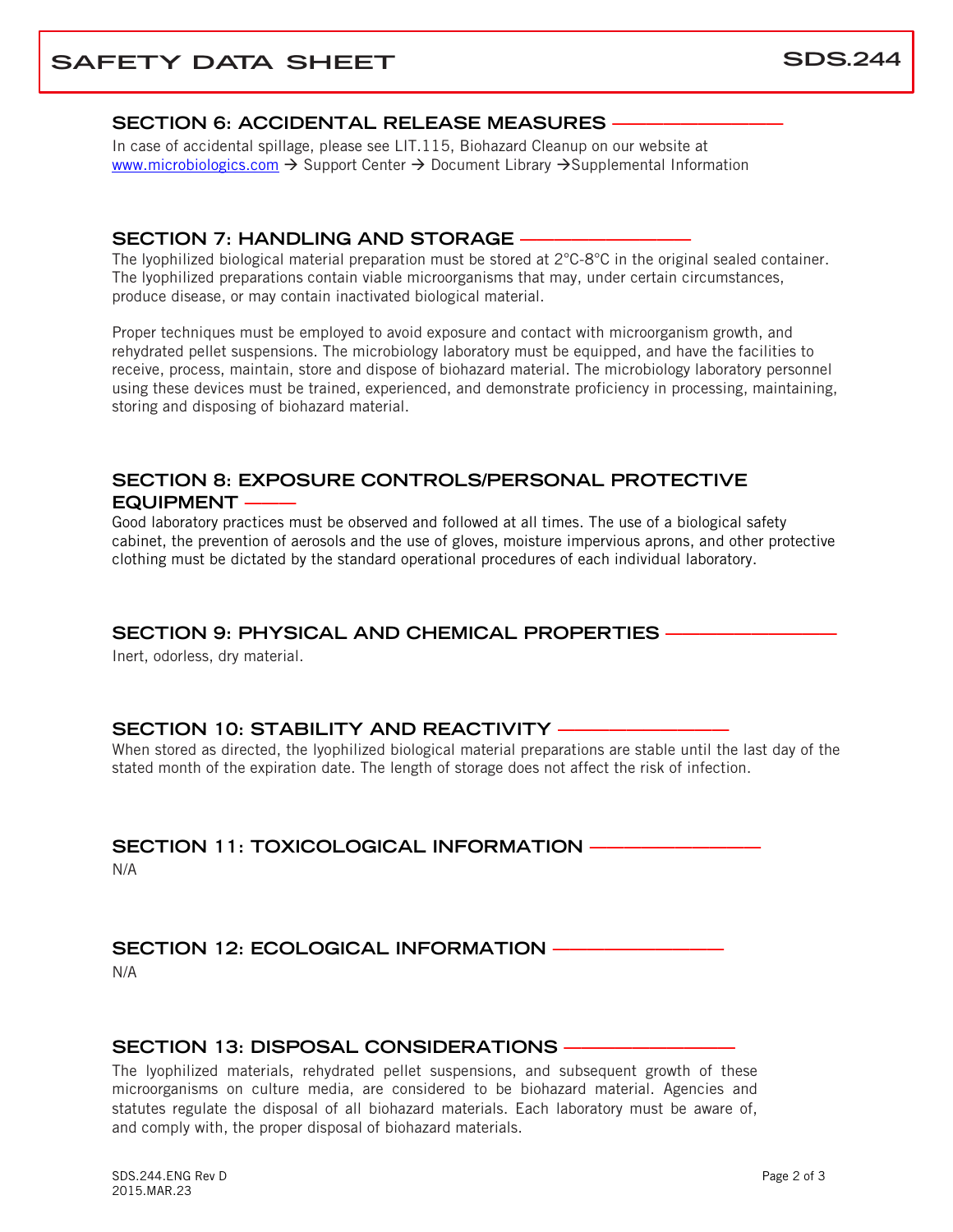## **SAFETY DATA SHEET** SDS.244

#### **SECTION 6: ACCIDENTAL RELEASE MEASURES**

In case of accidental spillage, please see LIT.115, Biohazard Cleanup on our website at [www.microbiologics.com](http://www.microbiologics.com/)  $\rightarrow$  Support Center  $\rightarrow$  Document Library  $\rightarrow$  Supplemental Information

#### **SECTION 7: HANDLING AND STORAGE –**

The Ivophilized biological material preparation must be stored at  $2^{\circ}$ C-8 $^{\circ}$ C in the original sealed container. The lyophilized preparations contain viable microorganisms that may, under certain circumstances, produce disease, or may contain inactivated biological material.

Proper techniques must be employed to avoid exposure and contact with microorganism growth, and rehydrated pellet suspensions. The microbiology laboratory must be equipped, and have the facilities to receive, process, maintain, store and dispose of biohazard material. The microbiology laboratory personnel using these devices must be trained, experienced, and demonstrate proficiency in processing, maintaining, storing and disposing of biohazard material.

#### **SECTION 8: EXPOSURE CONTROLS/PERSONAL PROTECTIVE EQUIPMENT -**

Good laboratory practices must be observed and followed at all times. The use of a biological safety cabinet, the prevention of aerosols and the use of gloves, moisture impervious aprons, and other protective clothing must be dictated by the standard operational procedures of each individual laboratory.

#### **SECTION 9: PHYSICAL AND CHEMICAL PROPERTIES ——————————**

Inert, odorless, dry material.

#### **SECTION 10: STABILITY AND REACTIVITY –**

When stored as directed, the lyophilized biological material preparations are stable until the last day of the stated month of the expiration date. The length of storage does not affect the risk of infection.

#### **SECTION 11: TOXICOLOGICAL INFORMATION -**

N/A

#### **SECTION 12: ECOLOGICAL INFORMATION -**

N/A

#### **SECTION 13: DISPOSAL CONSIDERATIONS**

The lyophilized materials, rehydrated pellet suspensions, and subsequent growth of these microorganisms on culture media, are considered to be biohazard material. Agencies and statutes regulate the disposal of all biohazard materials. Each laboratory must be aware of, and comply with, the proper disposal of biohazard materials.